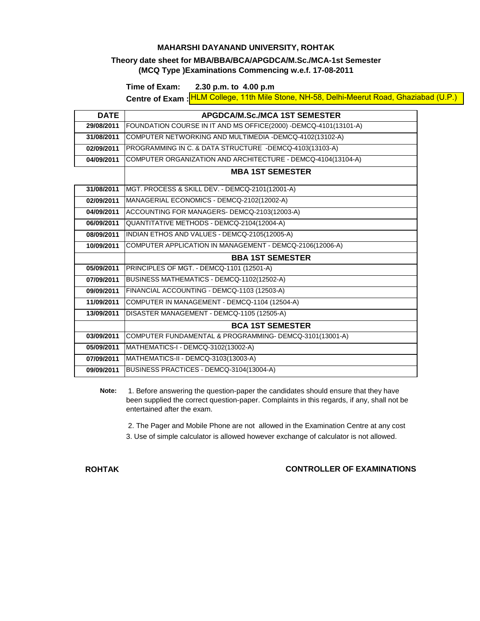### **MAHARSHI DAYANAND UNIVERSITY, ROHTAK**

### **Theory date sheet for MBA/BBA/BCA/APGDCA/M.Sc./MCA-1st Semester (MCQ Type )Examinations Commencing w.e.f. 17-08-2011**

**Time of Exam: 2.30 p.m. to 4.00 p.m**

**Centre of Exam : HLM College, 11th Mile Stone, NH-58, Delhi-Meerut Road, Ghaziabad (U.P.)** 

| <b>DATE</b> | <b>APGDCA/M.Sc./MCA 1ST SEMESTER</b>                             |  |  |  |  |
|-------------|------------------------------------------------------------------|--|--|--|--|
| 29/08/2011  | FOUNDATION COURSE IN IT AND MS OFFICE(2000) -DEMCQ-4101(13101-A) |  |  |  |  |
| 31/08/2011  | COMPUTER NETWORKING AND MULTIMEDIA -DEMCQ-4102(13102-A)          |  |  |  |  |
| 02/09/2011  | PROGRAMMING IN C. & DATA STRUCTURE -DEMCQ-4103(13103-A)          |  |  |  |  |
| 04/09/2011  | COMPUTER ORGANIZATION AND ARCHITECTURE - DEMCQ-4104(13104-A)     |  |  |  |  |
|             | <b>MBA 1ST SEMESTER</b>                                          |  |  |  |  |
| 31/08/2011  | MGT. PROCESS & SKILL DEV. - DEMCQ-2101(12001-A)                  |  |  |  |  |
| 02/09/2011  | MANAGERIAL ECONOMICS - DEMCQ-2102(12002-A)                       |  |  |  |  |
| 04/09/2011  | ACCOUNTING FOR MANAGERS- DEMCQ-2103(12003-A)                     |  |  |  |  |
| 06/09/2011  | QUANTITATIVE METHODS - DEMCQ-2104(12004-A)                       |  |  |  |  |
| 08/09/2011  | INDIAN ETHOS AND VALUES - DEMCQ-2105(12005-A)                    |  |  |  |  |
| 10/09/2011  | COMPUTER APPLICATION IN MANAGEMENT - DEMCQ-2106(12006-A)         |  |  |  |  |
|             | <b>BBA 1ST SEMESTER</b>                                          |  |  |  |  |
| 05/09/2011  | PRINCIPLES OF MGT. - DEMCQ-1101 (12501-A)                        |  |  |  |  |
| 07/09/2011  | BUSINESS MATHEMATICS - DEMCQ-1102(12502-A)                       |  |  |  |  |
| 09/09/2011  | FINANCIAL ACCOUNTING - DEMCQ-1103 (12503-A)                      |  |  |  |  |
| 11/09/2011  | COMPUTER IN MANAGEMENT - DEMCQ-1104 (12504-A)                    |  |  |  |  |
| 13/09/2011  | DISASTER MANAGEMENT - DEMCQ-1105 (12505-A)                       |  |  |  |  |
|             | <b>BCA 1ST SEMESTER</b>                                          |  |  |  |  |
| 03/09/2011  | COMPUTER FUNDAMENTAL & PROGRAMMING- DEMCQ-3101(13001-A)          |  |  |  |  |
| 05/09/2011  | MATHEMATICS-I - DEMCQ-3102(13002-A)                              |  |  |  |  |
| 07/09/2011  | MATHEMATICS-II - DEMCQ-3103(13003-A)                             |  |  |  |  |
| 09/09/2011  | BUSINESS PRACTICES - DEMCQ-3104(13004-A)                         |  |  |  |  |

**Note:** 1. Before answering the question-paper the candidates should ensure that they have been supplied the correct question-paper. Complaints in this regards, if any, shall not be entertained after the exam.

2. The Pager and Mobile Phone are not allowed in the Examination Centre at any cost

3. Use of simple calculator is allowed however exchange of calculator is not allowed.

**ROHTAK**

**CONTROLLER OF EXAMINATIONS**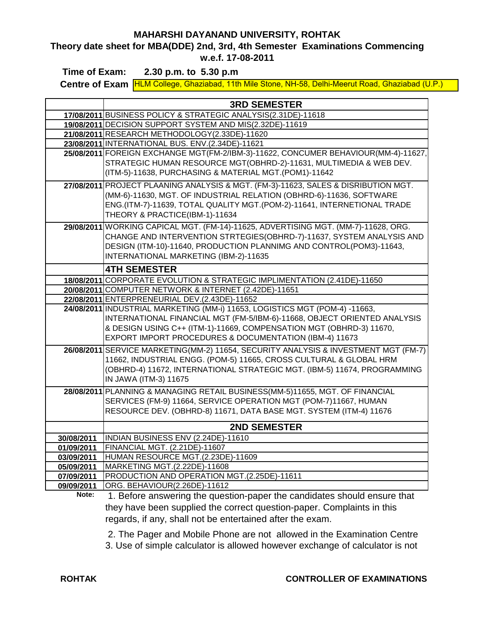## **MAHARSHI DAYANAND UNIVERSITY, ROHTAK**

**Theory date sheet for MBA(DDE) 2nd, 3rd, 4th Semester Examinations Commencing w.e.f. 17-08-2011**

**Centre of Exam** HLM College, Ghaziabad, 11th Mile Stone, NH-58, Delhi-Meerut Road, Ghaziabad (U.P.) **Time of Exam: 2.30 p.m. to 5.30 p.m**

|            | <b>3RD SEMESTER</b>                                                                  |  |  |  |  |  |
|------------|--------------------------------------------------------------------------------------|--|--|--|--|--|
|            | 17/08/2011 BUSINESS POLICY & STRATEGIC ANALYSIS(2.31DE)-11618                        |  |  |  |  |  |
|            | 19/08/2011 DECISION SUPPORT SYSTEM AND MIS(2.32DE)-11619                             |  |  |  |  |  |
|            | 21/08/2011 RESEARCH METHODOLOGY(2.33DE)-11620                                        |  |  |  |  |  |
|            | 23/08/2011 INTERNATIONAL BUS. ENV.(2.34DE)-11621                                     |  |  |  |  |  |
|            | 25/08/2011 FOREIGN EXCHANGE MGT(FM-2/IBM-3)-11622, CONCUMER BEHAVIOUR(MM-4)-11627,   |  |  |  |  |  |
|            | STRATEGIC HUMAN RESOURCE MGT(OBHRD-2)-11631, MULTIMEDIA & WEB DEV.                   |  |  |  |  |  |
|            | (ITM-5)-11638, PURCHASING & MATERIAL MGT.(POM1)-11642                                |  |  |  |  |  |
|            | 27/08/2011 PROJECT PLAANING ANALYSIS & MGT. (FM-3)-11623, SALES & DISRIBUTION MGT.   |  |  |  |  |  |
|            | (MM-6)-11630, MGT. OF INDUSTRIAL RELATION (OBHRD-6)-11636, SOFTWARE                  |  |  |  |  |  |
|            | ENG.(ITM-7)-11639, TOTAL QUALITY MGT.(POM-2)-11641, INTERNETIONAL TRADE              |  |  |  |  |  |
|            | THEORY & PRACTICE(IBM-1)-11634                                                       |  |  |  |  |  |
|            | 29/08/2011 WORKING CAPICAL MGT. (FM-14)-11625, ADVERTISING MGT. (MM-7)-11628, ORG.   |  |  |  |  |  |
|            | CHANGE AND INTERVENTION STRTEGIES(OBHRD-7)-11637, SYSTEM ANALYSIS AND                |  |  |  |  |  |
|            | DESIGN (ITM-10)-11640, PRODUCTION PLANNIMG AND CONTROL(POM3)-11643,                  |  |  |  |  |  |
|            | INTERNATIONAL MARKETING (IBM-2)-11635                                                |  |  |  |  |  |
|            |                                                                                      |  |  |  |  |  |
|            | <b>4TH SEMESTER</b>                                                                  |  |  |  |  |  |
|            | 18/08/2011 CORPORATE EVOLUTION & STRATEGIC IMPLIMENTATION (2.41DE)-11650             |  |  |  |  |  |
|            | 20/08/2011 COMPUTER NETWORK & INTERNET (2.42DE)-11651                                |  |  |  |  |  |
|            | 22/08/2011 ENTERPRENEURIAL DEV.(2.43DE)-11652                                        |  |  |  |  |  |
|            | 24/08/2011 INDUSTRIAL MARKETING (MM-i) 11653, LOGISTICS MGT (POM-4) -11663,          |  |  |  |  |  |
|            | INTERNATIONAL FINANCIAL MGT (FM-5/IBM-6)-11668, OBJECT ORIENTED ANALYSIS             |  |  |  |  |  |
|            | & DESIGN USING C++ (ITM-1)-11669, COMPENSATION MGT (OBHRD-3) 11670,                  |  |  |  |  |  |
|            | EXPORT IMPORT PROCEDURES & DOCUMENTATION (IBM-4) 11673                               |  |  |  |  |  |
|            | 26/08/2011 SERVICE MARKETING (MM-2) 11654, SECURITY ANALYSIS & INVESTMENT MGT (FM-7) |  |  |  |  |  |
|            | 11662, INDUSTRIAL ENGG. (POM-5) 11665, CROSS CULTURAL & GLOBAL HRM                   |  |  |  |  |  |
|            | (OBHRD-4) 11672, INTERNATIONAL STRATEGIC MGT. (IBM-5) 11674, PROGRAMMING             |  |  |  |  |  |
|            | IN JAWA (ITM-3) 11675                                                                |  |  |  |  |  |
|            | 28/08/2011 PLANNING & MANAGING RETAIL BUSINESS (MM-5)11655, MGT. OF FINANCIAL        |  |  |  |  |  |
|            | SERVICES (FM-9) 11664, SERVICE OPERATION MGT (POM-7)11667, HUMAN                     |  |  |  |  |  |
|            | RESOURCE DEV. (OBHRD-8) 11671, DATA BASE MGT. SYSTEM (ITM-4) 11676                   |  |  |  |  |  |
|            | <b>2ND SEMESTER</b>                                                                  |  |  |  |  |  |
| 30/08/2011 | INDIAN BUSINESS ENV (2.24DE)-11610                                                   |  |  |  |  |  |
| 01/09/2011 | FINANCIAL MGT. (2.21DE)-11607                                                        |  |  |  |  |  |
| 03/09/2011 | HUMAN RESOURCE MGT.(2.23DE)-11609                                                    |  |  |  |  |  |
| 05/09/2011 | MARKETING MGT.(2.22DE)-11608                                                         |  |  |  |  |  |
| 07/09/2011 | PRODUCTION AND OPERATION MGT.(2.25DE)-11611                                          |  |  |  |  |  |
| 09/09/2011 | ORG. BEHAVIOUR(2.26DE)-11612                                                         |  |  |  |  |  |

**Note:** 1. Before answering the question-paper the candidates should ensure that they have been supplied the correct question-paper. Complaints in this regards, if any, shall not be entertained after the exam.

 2. The Pager and Mobile Phone are not allowed in the Examination Centre 3. Use of simple calculator is allowed however exchange of calculator is not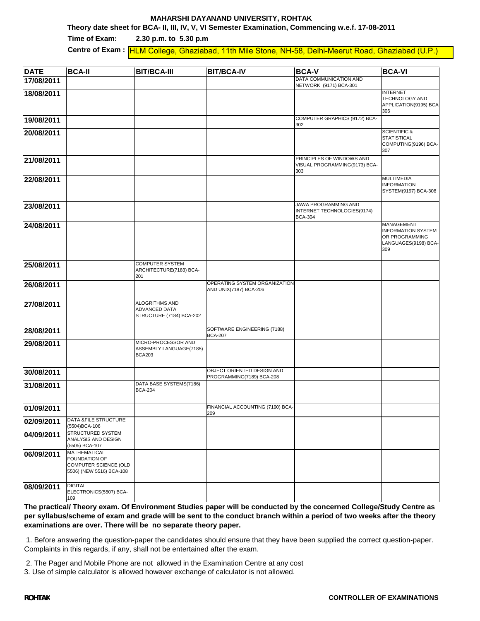#### **MAHARSHI DAYANAND UNIVERSITY, ROHTAK**

**Theory date sheet for BCA- II, III, IV, V, VI Semester Examination, Commencing w.e.f. 17-08-2011**

**Time of Exam:** Centre of Exam : **HLM College, Ghaziabad, 11th Mile Stone, NH-58, Delhi-Meerut Road, Ghaziabad (U.P.) 2.30 p.m. to 5.30 p.m**

| <b>DATE</b> | <b>BCA-II</b>                                                                                    | <b>BIT/BCA-III</b>                                              | <b>BIT/BCA-IV</b>                                       | <b>BCA-V</b>                                                          | <b>BCA-VI</b>                                                                            |
|-------------|--------------------------------------------------------------------------------------------------|-----------------------------------------------------------------|---------------------------------------------------------|-----------------------------------------------------------------------|------------------------------------------------------------------------------------------|
| 17/08/2011  |                                                                                                  |                                                                 |                                                         | DATA COMMUNICATION AND<br>NETWORK (9171) BCA-301                      |                                                                                          |
| 18/08/2011  |                                                                                                  |                                                                 |                                                         |                                                                       | <b>INTERNET</b>                                                                          |
|             |                                                                                                  |                                                                 |                                                         |                                                                       | TECHNOLOGY AND<br>APPLICATION(9195) BCA<br>306                                           |
| 19/08/2011  |                                                                                                  |                                                                 |                                                         | COMPUTER GRAPHICS (9172) BCA-<br>302                                  |                                                                                          |
| 20/08/2011  |                                                                                                  |                                                                 |                                                         |                                                                       | <b>SCIENTIFIC &amp;</b><br><b>STATISTICAL</b><br>COMPUTING(9196) BCA-<br>307             |
| 21/08/2011  |                                                                                                  |                                                                 |                                                         | PRINCIPLES OF WINDOWS AND<br>VISUAL PROGRAMMING(9173) BCA-<br>303     |                                                                                          |
| 22/08/2011  |                                                                                                  |                                                                 |                                                         |                                                                       | <b>MULTIMEDIA</b><br><b>INFORMATION</b><br>SYSTEM(9197) BCA-308                          |
| 23/08/2011  |                                                                                                  |                                                                 |                                                         | JAWA PROGRAMMING AND<br>INTERNET TECHNOLOGIES(9174)<br><b>BCA-304</b> |                                                                                          |
| 24/08/2011  |                                                                                                  |                                                                 |                                                         |                                                                       | MANAGEMENT<br><b>INFORMATION SYSTEM</b><br>OR PROGRAMMING<br>LANGUAGES(9198) BCA-<br>309 |
| 25/08/2011  |                                                                                                  | <b>COMPUTER SYSTEM</b><br>ARCHITECTURE(7183) BCA-<br>201        |                                                         |                                                                       |                                                                                          |
| 26/08/2011  |                                                                                                  |                                                                 | OPERATING SYSTEM ORGANIZATION<br>AND UNIX(7187) BCA-206 |                                                                       |                                                                                          |
| 27/08/2011  |                                                                                                  | ALOGRITHMS AND<br>ADVANCED DATA<br>STRUCTURE (7184) BCA-202     |                                                         |                                                                       |                                                                                          |
| 28/08/2011  |                                                                                                  |                                                                 | SOFTWARE ENGINEERING (7188)<br><b>BCA-207</b>           |                                                                       |                                                                                          |
| 29/08/2011  |                                                                                                  | MICRO-PROCESSOR AND<br>ASSEMBLY LANGUAGE(7185)<br><b>BCA203</b> |                                                         |                                                                       |                                                                                          |
| 30/08/2011  |                                                                                                  |                                                                 | OBJECT ORIENTED DESIGN AND<br>PROGRAMMING(7189) BCA-208 |                                                                       |                                                                                          |
| 31/08/2011  |                                                                                                  | DATA BASE SYSTEMS(7186)<br><b>BCA-204</b>                       |                                                         |                                                                       |                                                                                          |
| 01/09/2011  |                                                                                                  |                                                                 | FINANCIAL ACCOUNTING (7190) BCA-<br>209                 |                                                                       |                                                                                          |
| 02/09/2011  | DATA &FILE STRUCTURE<br>(5504) BCA-106                                                           |                                                                 |                                                         |                                                                       |                                                                                          |
| 04/09/2011  | <b>STRUCTURED SYSTEM</b><br>ANALYSIS AND DESIGN<br>(5505) BCA-107                                |                                                                 |                                                         |                                                                       |                                                                                          |
| 06/09/2011  | <b>MATHEMATICAL</b><br><b>FOUNDATION OF</b><br>COMPUTER SCIENCE (OLD<br>5506) (NEW 5516) BCA-108 |                                                                 |                                                         |                                                                       |                                                                                          |
| 08/09/2011  | <b>DIGITAL</b><br>ELECTRONICS(5507) BCA-<br>109                                                  |                                                                 |                                                         |                                                                       |                                                                                          |

**The practical/ Theory exam. Of Environment Studies paper will be conducted by the concerned College/Study Centre as per syllabus/scheme of exam and grade will be sent to the conduct branch within a period of two weeks after the theory examinations are over. There will be no separate theory paper.**

 1. Before answering the question-paper the candidates should ensure that they have been supplied the correct question-paper. Complaints in this regards, if any, shall not be entertained after the exam.

2. The Pager and Mobile Phone are not allowed in the Examination Centre at any cost

3. Use of simple calculator is allowed however exchange of calculator is not allowed.